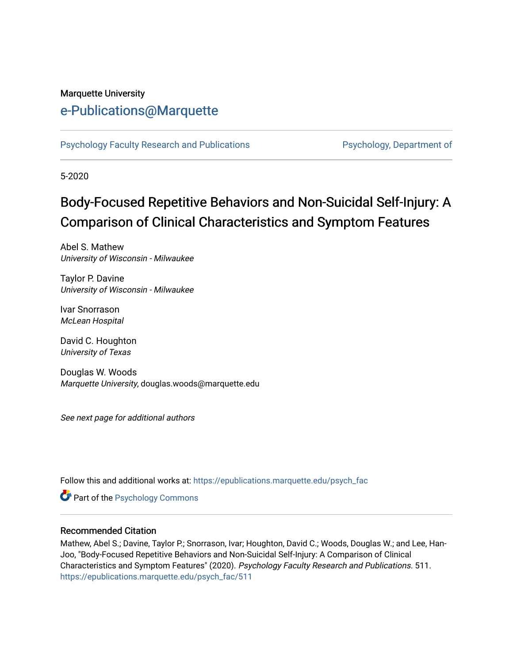#### Marquette University

# [e-Publications@Marquette](https://epublications.marquette.edu/)

[Psychology Faculty Research and Publications](https://epublications.marquette.edu/psych_fac) **Properties Psychology, Department of** 

5-2020

# Body-Focused Repetitive Behaviors and Non-Suicidal Self-Injury: A Comparison of Clinical Characteristics and Symptom Features

Abel S. Mathew University of Wisconsin - Milwaukee

Taylor P. Davine University of Wisconsin - Milwaukee

Ivar Snorrason McLean Hospital

David C. Houghton University of Texas

Douglas W. Woods Marquette University, douglas.woods@marquette.edu

See next page for additional authors

Follow this and additional works at: [https://epublications.marquette.edu/psych\\_fac](https://epublications.marquette.edu/psych_fac?utm_source=epublications.marquette.edu%2Fpsych_fac%2F511&utm_medium=PDF&utm_campaign=PDFCoverPages)

**Part of the Psychology Commons** 

#### Recommended Citation

Mathew, Abel S.; Davine, Taylor P.; Snorrason, Ivar; Houghton, David C.; Woods, Douglas W.; and Lee, Han-Joo, "Body-Focused Repetitive Behaviors and Non-Suicidal Self-Injury: A Comparison of Clinical Characteristics and Symptom Features" (2020). Psychology Faculty Research and Publications. 511. [https://epublications.marquette.edu/psych\\_fac/511](https://epublications.marquette.edu/psych_fac/511?utm_source=epublications.marquette.edu%2Fpsych_fac%2F511&utm_medium=PDF&utm_campaign=PDFCoverPages)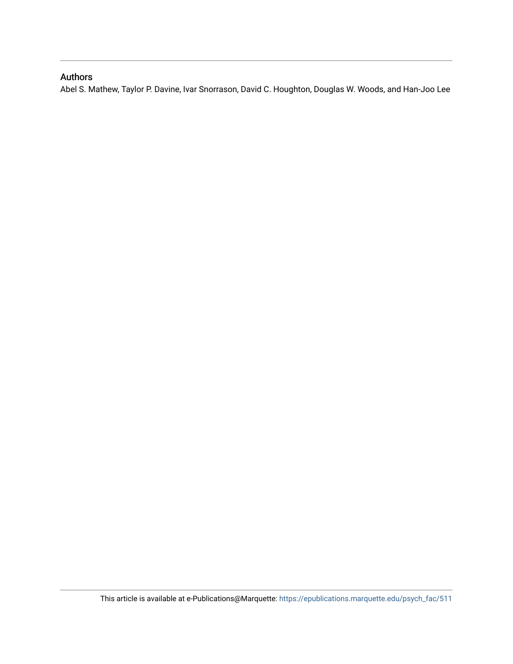## Authors

Abel S. Mathew, Taylor P. Davine, Ivar Snorrason, David C. Houghton, Douglas W. Woods, and Han-Joo Lee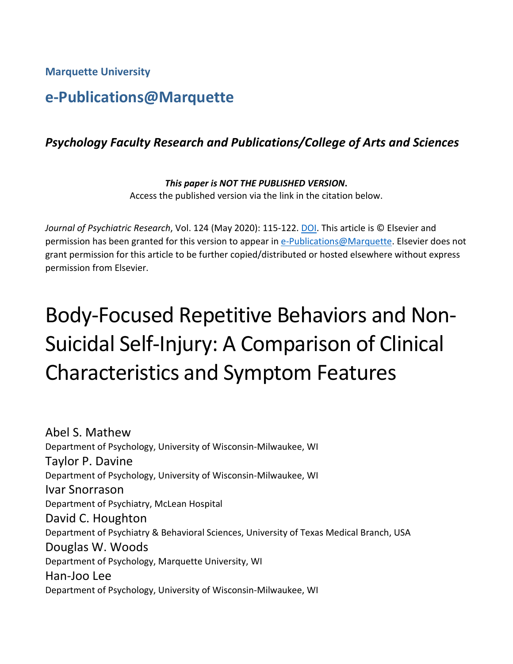**Marquette University**

# **e-Publications@Marquette**

# *Psychology Faculty Research and Publications/College of Arts and Sciences*

*This paper is NOT THE PUBLISHED VERSION***.**  Access the published version via the link in the citation below.

*Journal of Psychiatric Research*, Vol. 124 (May 2020): 115-122. [DOI.](https://doi.org/10.1016/j.jpsychires.2020.02.020) This article is © Elsevier and permission has been granted for this version to appear in [e-Publications@Marquette.](http://epublications.marquette.edu/) Elsevier does not grant permission for this article to be further copied/distributed or hosted elsewhere without express permission from Elsevier.

# Body-Focused Repetitive Behaviors and Non-Suicidal Self-Injury: A Comparison of Clinical Characteristics and Symptom Features

Abel S. Mathew Department of Psychology, University of Wisconsin-Milwaukee, WI Taylor P. Davine Department of Psychology, University of Wisconsin-Milwaukee, WI Ivar Snorrason Department of Psychiatry, McLean Hospital David C. Houghton Department of Psychiatry & Behavioral Sciences, University of Texas Medical Branch, USA Douglas W. Woods Department of Psychology, Marquette University, WI Han-Joo Lee Department of Psychology, University of Wisconsin-Milwaukee, WI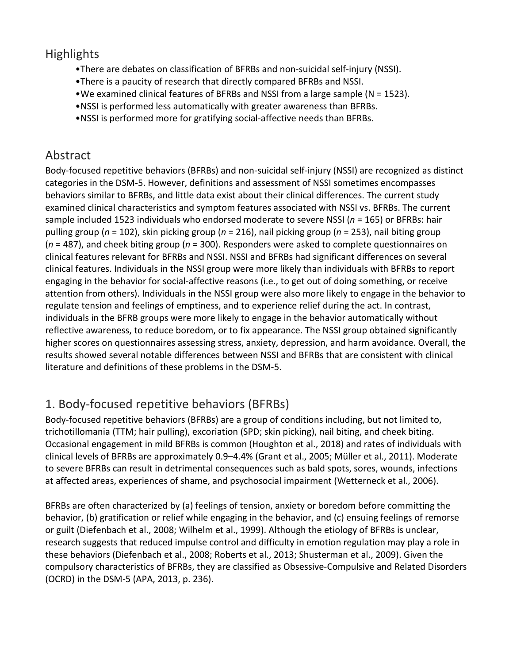# **Highlights**

- •There are debates on classification of BFRBs and non-suicidal self-injury (NSSI).
- •There is a paucity of research that directly compared BFRBs and NSSI.
- •We examined clinical features of BFRBs and NSSI from a large sample (N = 1523).
- •NSSI is performed less automatically with greater awareness than BFRBs.
- •NSSI is performed more for gratifying social-affective needs than BFRBs.

# Abstract

Body-focused repetitive behaviors (BFRBs) and non-suicidal self-injury (NSSI) are recognized as distinct categories in the DSM-5. However, definitions and assessment of NSSI sometimes encompasses behaviors similar to BFRBs, and little data exist about their clinical differences. The current study examined clinical characteristics and symptom features associated with NSSI vs. BFRBs. The current sample included 1523 individuals who endorsed moderate to severe NSSI (*n* = 165) or BFRBs: hair pulling group (*n* = 102), skin picking group (*n* = 216), nail picking group (*n* = 253), nail biting group (*n* = 487), and cheek biting group (*n* = 300). Responders were asked to complete questionnaires on clinical features relevant for BFRBs and NSSI. NSSI and BFRBs had significant differences on several clinical features. Individuals in the NSSI group were more likely than individuals with BFRBs to report engaging in the behavior for social-affective reasons (i.e., to get out of doing something, or receive attention from others). Individuals in the NSSI group were also more likely to engage in the behavior to regulate tension and feelings of emptiness, and to experience relief during the act. In contrast, individuals in the BFRB groups were more likely to engage in the behavior automatically without reflective awareness, to reduce boredom, or to fix appearance. The NSSI group obtained significantly higher scores on questionnaires assessing stress, anxiety, depression, and harm avoidance. Overall, the results showed several notable differences between NSSI and BFRBs that are consistent with clinical literature and definitions of these problems in the DSM-5.

# 1. Body-focused repetitive behaviors (BFRBs)

Body-focused repetitive behaviors (BFRBs) are a group of conditions including, but not limited to, trichotillomania (TTM; hair pulling), excoriation (SPD; skin picking), nail biting, and cheek biting. Occasional engagement in mild BFRBs is common (Houghton et al., 2018) and rates of individuals with clinical levels of BFRBs are approximately 0.9–4.4% (Grant et al., 2005; Müller et al., 2011). Moderate to severe BFRBs can result in detrimental consequences such as bald spots, sores, wounds, infections at affected areas, experiences of shame, and psychosocial impairment (Wetterneck et al., 2006).

BFRBs are often characterized by (a) feelings of tension, anxiety or boredom before committing the behavior, (b) gratification or relief while engaging in the behavior, and (c) ensuing feelings of remorse or guilt (Diefenbach et al., 2008; Wilhelm et al., 1999). Although the etiology of BFRBs is unclear, research suggests that reduced impulse control and difficulty in emotion regulation may play a role in these behaviors (Diefenbach et al., 2008; Roberts et al., 2013; Shusterman et al., 2009). Given the compulsory characteristics of BFRBs, they are classified as Obsessive-Compulsive and Related Disorders (OCRD) in the DSM-5 (APA, 2013, p. 236).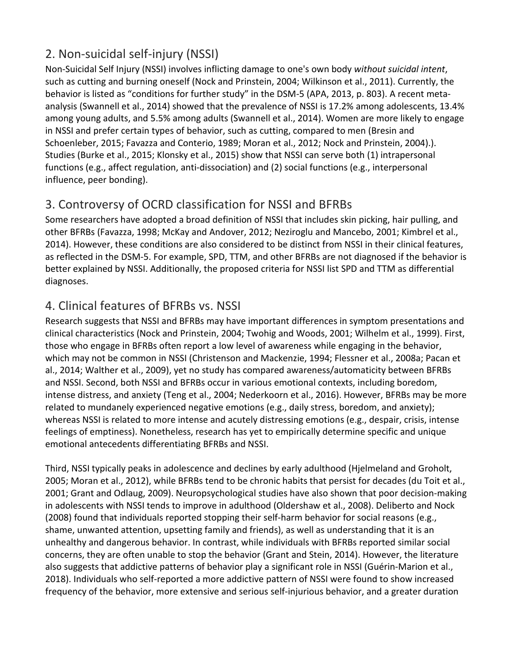# 2. Non-suicidal self-injury (NSSI)

Non-Suicidal Self Injury (NSSI) involves inflicting damage to one's own body *without suicidal intent*, such as cutting and burning oneself (Nock and Prinstein, 2004; Wilkinson et al., 2011). Currently, the behavior is listed as "conditions for further study" in the DSM-5 (APA, 2013, p. 803). A recent metaanalysis (Swannell et al., 2014) showed that the prevalence of NSSI is 17.2% among adolescents, 13.4% among young adults, and 5.5% among adults (Swannell et al., 2014). Women are more likely to engage in NSSI and prefer certain types of behavior, such as cutting, compared to men (Bresin and Schoenleber, 2015; Favazza and Conterio, 1989; Moran et al., 2012; Nock and Prinstein, 2004).). Studies (Burke et al., 2015; Klonsky et al., 2015) show that NSSI can serve both (1) intrapersonal functions (e.g., affect regulation, anti-dissociation) and (2) social functions (e.g., interpersonal influence, peer bonding).

# 3. Controversy of OCRD classification for NSSI and BFRBs

Some researchers have adopted a broad definition of NSSI that includes skin picking, hair pulling, and other BFRBs (Favazza, 1998; McKay and Andover, 2012; Neziroglu and Mancebo, 2001; Kimbrel et al., 2014). However, these conditions are also considered to be distinct from NSSI in their clinical features, as reflected in the DSM-5. For example, SPD, TTM, and other BFRBs are not diagnosed if the behavior is better explained by NSSI. Additionally, the proposed criteria for NSSI list SPD and TTM as differential diagnoses.

# 4. Clinical features of BFRBs vs. NSSI

Research suggests that NSSI and BFRBs may have important differences in symptom presentations and clinical characteristics (Nock and Prinstein, 2004; Twohig and Woods, 2001; Wilhelm et al., 1999). First, those who engage in BFRBs often report a low level of awareness while engaging in the behavior, which may not be common in NSSI (Christenson and Mackenzie, 1994; Flessner et al., 2008a; Pacan et al., 2014; Walther et al., 2009), yet no study has compared awareness/automaticity between BFRBs and NSSI. Second, both NSSI and BFRBs occur in various emotional contexts, including boredom, intense distress, and anxiety (Teng et al., 2004; Nederkoorn et al., 2016). However, BFRBs may be more related to mundanely experienced negative emotions (e.g., daily stress, boredom, and anxiety); whereas NSSI is related to more intense and acutely distressing emotions (e.g., despair, crisis, intense feelings of emptiness). Nonetheless, research has yet to empirically determine specific and unique emotional antecedents differentiating BFRBs and NSSI.

Third, NSSI typically peaks in adolescence and declines by early adulthood (Hjelmeland and Groholt, 2005; Moran et al., 2012), while BFRBs tend to be chronic habits that persist for decades (du Toit et al., 2001; Grant and Odlaug, 2009). Neuropsychological studies have also shown that poor decision-making in adolescents with NSSI tends to improve in adulthood (Oldershaw et al., 2008). Deliberto and Nock (2008) found that individuals reported stopping their self-harm behavior for social reasons (e.g., shame, unwanted attention, upsetting family and friends), as well as understanding that it is an unhealthy and dangerous behavior. In contrast, while individuals with BFRBs reported similar social concerns, they are often unable to stop the behavior (Grant and Stein, 2014). However, the literature also suggests that addictive patterns of behavior play a significant role in NSSI (Guérin-Marion et al., 2018). Individuals who self-reported a more addictive pattern of NSSI were found to show increased frequency of the behavior, more extensive and serious self-injurious behavior, and a greater duration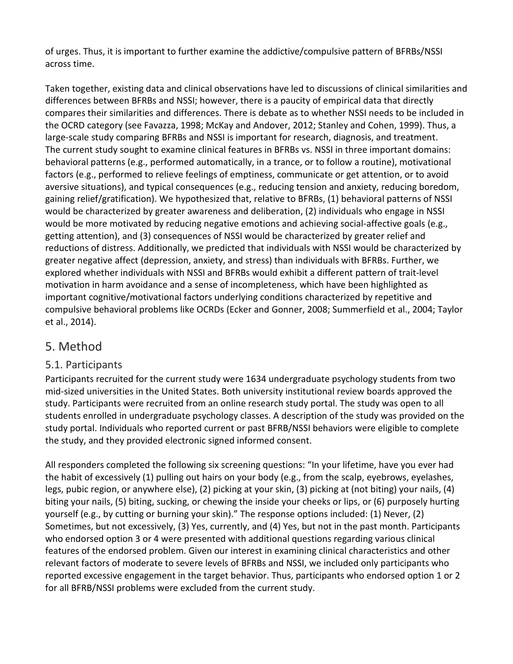of urges. Thus, it is important to further examine the addictive/compulsive pattern of BFRBs/NSSI across time.

Taken together, existing data and clinical observations have led to discussions of clinical similarities and differences between BFRBs and NSSI; however, there is a paucity of empirical data that directly compares their similarities and differences. There is debate as to whether NSSI needs to be included in the OCRD category (see Favazza, 1998; McKay and Andover, 2012; Stanley and Cohen, 1999). Thus, a large-scale study comparing BFRBs and NSSI is important for research, diagnosis, and treatment. The current study sought to examine clinical features in BFRBs vs. NSSI in three important domains: behavioral patterns (e.g., performed automatically, in a trance, or to follow a routine), motivational factors (e.g., performed to relieve feelings of emptiness, communicate or get attention, or to avoid aversive situations), and typical consequences (e.g., reducing tension and anxiety, reducing boredom, gaining relief/gratification). We hypothesized that, relative to BFRBs, (1) behavioral patterns of NSSI would be characterized by greater awareness and deliberation, (2) individuals who engage in NSSI would be more motivated by reducing negative emotions and achieving social-affective goals (e.g., getting attention), and (3) consequences of NSSI would be characterized by greater relief and reductions of distress. Additionally, we predicted that individuals with NSSI would be characterized by greater negative affect (depression, anxiety, and stress) than individuals with BFRBs. Further, we explored whether individuals with NSSI and BFRBs would exhibit a different pattern of trait-level motivation in harm avoidance and a sense of incompleteness, which have been highlighted as important cognitive/motivational factors underlying conditions characterized by repetitive and compulsive behavioral problems like OCRDs (Ecker and Gonner, 2008; Summerfield et al., 2004; Taylor et al., 2014).

## 5. Method

## 5.1. Participants

Participants recruited for the current study were 1634 undergraduate psychology students from two mid-sized universities in the United States. Both university institutional review boards approved the study. Participants were recruited from an online research study portal. The study was open to all students enrolled in undergraduate psychology classes. A description of the study was provided on the study portal. Individuals who reported current or past BFRB/NSSI behaviors were eligible to complete the study, and they provided electronic signed informed consent.

All responders completed the following six screening questions: "In your lifetime, have you ever had the habit of excessively (1) pulling out hairs on your body (e.g., from the scalp, eyebrows, eyelashes, legs, pubic region, or anywhere else), (2) picking at your skin, (3) picking at (not biting) your nails, (4) biting your nails, (5) biting, sucking, or chewing the inside your cheeks or lips, or (6) purposely hurting yourself (e.g., by cutting or burning your skin)." The response options included: (1) Never, (2) Sometimes, but not excessively, (3) Yes, currently, and (4) Yes, but not in the past month. Participants who endorsed option 3 or 4 were presented with additional questions regarding various clinical features of the endorsed problem. Given our interest in examining clinical characteristics and other relevant factors of moderate to severe levels of BFRBs and NSSI, we included only participants who reported excessive engagement in the target behavior. Thus, participants who endorsed option 1 or 2 for all BFRB/NSSI problems were excluded from the current study.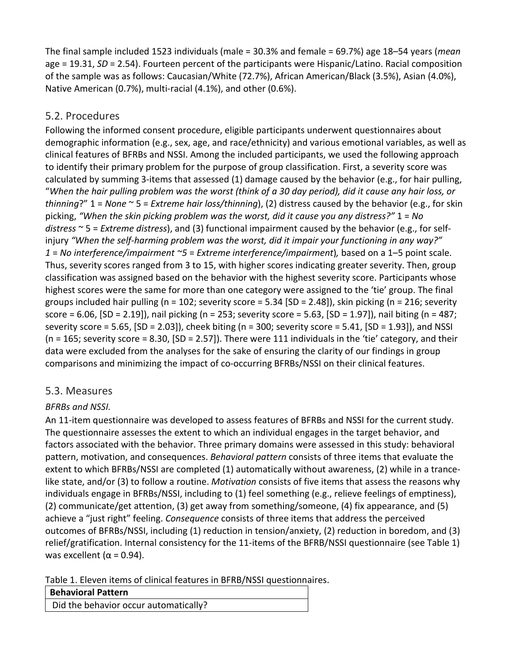The final sample included 1523 individuals (male = 30.3% and female = 69.7%) age 18–54 years (*mean* age = 19.31, *SD* = 2.54). Fourteen percent of the participants were Hispanic/Latino. Racial composition of the sample was as follows: Caucasian/White (72.7%), African American/Black (3.5%), Asian (4.0%), Native American (0.7%), multi-racial (4.1%), and other (0.6%).

## 5.2. Procedures

Following the informed consent procedure, eligible participants underwent questionnaires about demographic information (e.g., sex, age, and race/ethnicity) and various emotional variables, as well as clinical features of BFRBs and NSSI. Among the included participants, we used the following approach to identify their primary problem for the purpose of group classification. First, a severity score was calculated by summing 3-items that assessed (1) damage caused by the behavior (e.g., for hair pulling, "*When the hair pulling problem was the worst (think of a 30 day period), did it cause any hair loss, or thinning*?" 1 = *None* ~ 5 = *Extreme hair loss/thinning*), (2) distress caused by the behavior (e.g., for skin picking, *"When the skin picking problem was the worst, did it cause you any distress?"* 1 = *No distress* ~ 5 = *Extreme distress*), and (3) functional impairment caused by the behavior (e.g., for selfinjury *"When the self-harming problem was the worst, did it impair your functioning in any way?" 1* = *No interference/impairment ~5* = *Extreme interference/impairment*)*,* based on a 1–5 point scale. Thus, severity scores ranged from 3 to 15, with higher scores indicating greater severity. Then, group classification was assigned based on the behavior with the highest severity score. Participants whose highest scores were the same for more than one category were assigned to the 'tie' group. The final groups included hair pulling (n = 102; severity score =  $5.34$  [SD =  $2.48$ ]), skin picking (n =  $216$ ; severity score = 6.06, [SD = 2.19]), nail picking (n = 253; severity score = 5.63, [SD = 1.97]), nail biting (n = 487; severity score = 5.65,  $[SD = 2.03]$ , cheek biting (n = 300; severity score = 5.41,  $[SD = 1.93]$ ), and NSSI  $(n = 165;$  severity score = 8.30,  $[SD = 2.57]$ . There were 111 individuals in the 'tie' category, and their data were excluded from the analyses for the sake of ensuring the clarity of our findings in group comparisons and minimizing the impact of co-occurring BFRBs/NSSI on their clinical features.

## 5.3. Measures

## *BFRBs and NSSI.*

An 11-item questionnaire was developed to assess features of BFRBs and NSSI for the current study. The questionnaire assesses the extent to which an individual engages in the target behavior, and factors associated with the behavior. Three primary domains were assessed in this study: behavioral pattern, motivation, and consequences. *Behavioral pattern* consists of three items that evaluate the extent to which BFRBs/NSSI are completed (1) automatically without awareness, (2) while in a trancelike state, and/or (3) to follow a routine. *Motivation* consists of five items that assess the reasons why individuals engage in BFRBs/NSSI, including to (1) feel something (e.g., relieve feelings of emptiness), (2) communicate/get attention, (3) get away from something/someone, (4) fix appearance, and (5) achieve a "just right" feeling. *Consequence* consists of three items that address the perceived outcomes of BFRBs/NSSI, including (1) reduction in tension/anxiety, (2) reduction in boredom, and (3) relief/gratification. Internal consistency for the 11-items of the BFRB/NSSI questionnaire (see Table 1) was excellent ( $\alpha$  = 0.94).

Table 1. Eleven items of clinical features in BFRB/NSSI questionnaires.

| <b>Behavioral Pattern</b>             |
|---------------------------------------|
| Did the behavior occur automatically? |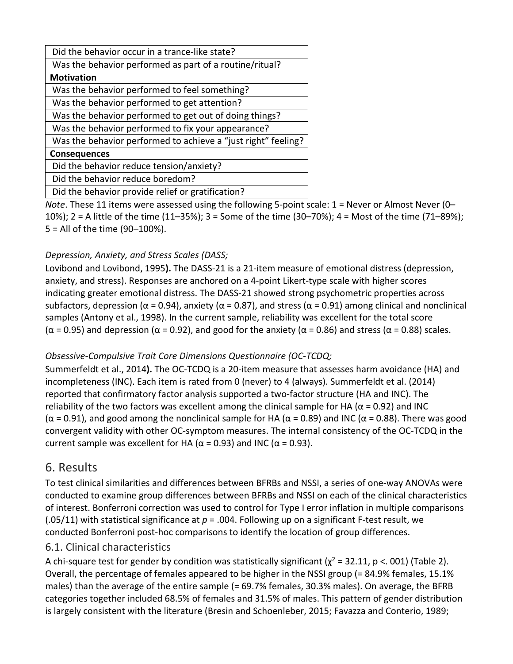| Did the behavior occur in a trance-like state?                |  |  |  |  |  |  |  |  |
|---------------------------------------------------------------|--|--|--|--|--|--|--|--|
| Was the behavior performed as part of a routine/ritual?       |  |  |  |  |  |  |  |  |
| <b>Motivation</b>                                             |  |  |  |  |  |  |  |  |
| Was the behavior performed to feel something?                 |  |  |  |  |  |  |  |  |
| Was the behavior performed to get attention?                  |  |  |  |  |  |  |  |  |
| Was the behavior performed to get out of doing things?        |  |  |  |  |  |  |  |  |
| Was the behavior performed to fix your appearance?            |  |  |  |  |  |  |  |  |
| Was the behavior performed to achieve a "just right" feeling? |  |  |  |  |  |  |  |  |
| <b>Consequences</b>                                           |  |  |  |  |  |  |  |  |
| Did the behavior reduce tension/anxiety?                      |  |  |  |  |  |  |  |  |
| Did the behavior reduce boredom?                              |  |  |  |  |  |  |  |  |
| Did the behavior provide relief or gratification?             |  |  |  |  |  |  |  |  |

*Note*. These 11 items were assessed using the following 5-point scale: 1 = Never or Almost Never (0– 10%); 2 = A little of the time (11–35%); 3 = Some of the time (30–70%); 4 = Most of the time (71–89%); 5 = All of the time (90–100%).

## *Depression, Anxiety, and Stress Scales (DASS;*

Lovibond and Lovibond, 1995**).** The DASS-21 is a 21-item measure of emotional distress (depression, anxiety, and stress). Responses are anchored on a 4-point Likert-type scale with higher scores indicating greater emotional distress. The DASS-21 showed strong psychometric properties across subfactors, depression ( $\alpha$  = 0.94), anxiety ( $\alpha$  = 0.87), and stress ( $\alpha$  = 0.91) among clinical and nonclinical samples (Antony et al., 1998). In the current sample, reliability was excellent for the total score ( $\alpha$  = 0.95) and depression ( $\alpha$  = 0.92), and good for the anxiety ( $\alpha$  = 0.86) and stress ( $\alpha$  = 0.88) scales.

## *Obsessive-Compulsive Trait Core Dimensions Questionnaire (OC-TCDQ;*

Summerfeldt et al., 2014**).** The OC-TCDQ is a 20-item measure that assesses harm avoidance (HA) and incompleteness (INC). Each item is rated from 0 (never) to 4 (always). Summerfeldt et al. (2014) reported that confirmatory factor analysis supported a two-factor structure (HA and INC). The reliability of the two factors was excellent among the clinical sample for HA ( $\alpha$  = 0.92) and INC ( $\alpha$  = 0.91), and good among the nonclinical sample for HA ( $\alpha$  = 0.89) and INC ( $\alpha$  = 0.88). There was good convergent validity with other OC-symptom measures. The internal consistency of the OC-TCDQ in the current sample was excellent for HA ( $\alpha$  = 0.93) and INC ( $\alpha$  = 0.93).

## 6. Results

To test clinical similarities and differences between BFRBs and NSSI, a series of one-way ANOVAs were conducted to examine group differences between BFRBs and NSSI on each of the clinical characteristics of interest. Bonferroni correction was used to control for Type I error inflation in multiple comparisons (.05/11) with statistical significance at *p* = .004. Following up on a significant F-test result, we conducted Bonferroni post-hoc comparisons to identify the location of group differences.

## 6.1. Clinical characteristics

A chi-square test for gender by condition was statistically significant ( $\chi^2$  = 32.11, p <. 001) (Table 2). Overall, the percentage of females appeared to be higher in the NSSI group (= 84.9% females, 15.1% males) than the average of the entire sample (= 69.7% females, 30.3% males). On average, the BFRB categories together included 68.5% of females and 31.5% of males. This pattern of gender distribution is largely consistent with the literature (Bresin and Schoenleber, 2015; Favazza and Conterio, 1989;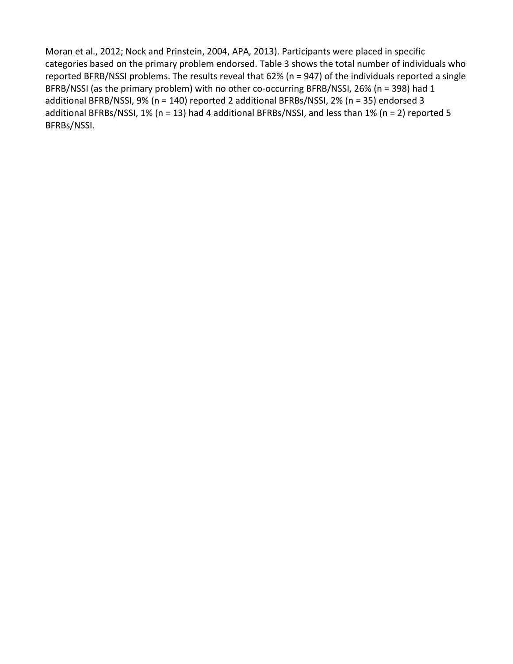Moran et al., 2012; Nock and Prinstein, 2004, APA, 2013). Participants were placed in specific categories based on the primary problem endorsed. Table 3 shows the total number of individuals who reported BFRB/NSSI problems. The results reveal that 62% (n = 947) of the individuals reported a single BFRB/NSSI (as the primary problem) with no other co-occurring BFRB/NSSI, 26% (n = 398) had 1 additional BFRB/NSSI, 9% (n = 140) reported 2 additional BFRBs/NSSI, 2% (n = 35) endorsed 3 additional BFRBs/NSSI, 1% (n = 13) had 4 additional BFRBs/NSSI, and less than 1% (n = 2) reported 5 BFRBs/NSSI.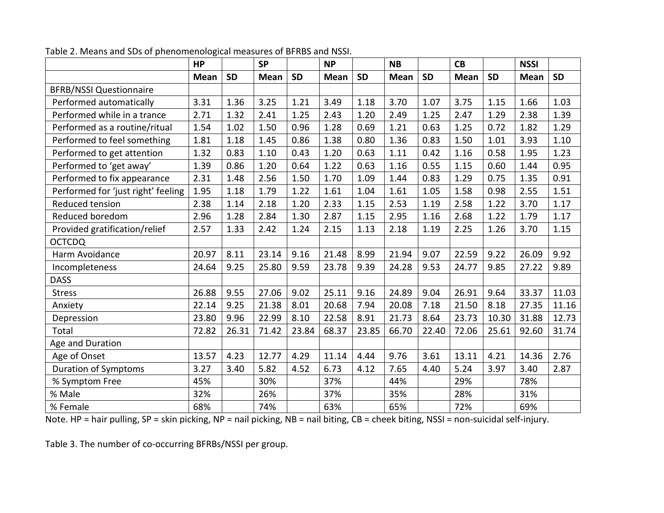|                                    | <b>HP</b>   |           | <b>SP</b> |           | <b>NP</b>   |           | <b>NB</b>   |           | CB          |           | <b>NSSI</b> |           |
|------------------------------------|-------------|-----------|-----------|-----------|-------------|-----------|-------------|-----------|-------------|-----------|-------------|-----------|
|                                    | <b>Mean</b> | <b>SD</b> | Mean      | <b>SD</b> | <b>Mean</b> | <b>SD</b> | <b>Mean</b> | <b>SD</b> | <b>Mean</b> | <b>SD</b> | <b>Mean</b> | <b>SD</b> |
| <b>BFRB/NSSI Questionnaire</b>     |             |           |           |           |             |           |             |           |             |           |             |           |
| Performed automatically            | 3.31        | 1.36      | 3.25      | 1.21      | 3.49        | 1.18      | 3.70        | 1.07      | 3.75        | 1.15      | 1.66        | 1.03      |
| Performed while in a trance        | 2.71        | 1.32      | 2.41      | 1.25      | 2.43        | 1.20      | 2.49        | 1.25      | 2.47        | 1.29      | 2.38        | 1.39      |
| Performed as a routine/ritual      | 1.54        | 1.02      | 1.50      | 0.96      | 1.28        | 0.69      | 1.21        | 0.63      | 1.25        | 0.72      | 1.82        | 1.29      |
| Performed to feel something        | 1.81        | 1.18      | 1.45      | 0.86      | 1.38        | 0.80      | 1.36        | 0.83      | 1.50        | 1.01      | 3.93        | 1.10      |
| Performed to get attention         | 1.32        | 0.83      | 1.10      | 0.43      | 1.20        | 0.63      | 1.11        | 0.42      | 1.16        | 0.58      | 1.95        | 1.23      |
| Performed to 'get away'            | 1.39        | 0.86      | 1.20      | 0.64      | 1.22        | 0.63      | 1.16        | 0.55      | 1.15        | 0.60      | 1.44        | 0.95      |
| Performed to fix appearance        | 2.31        | 1.48      | 2.56      | 1.50      | 1.70        | 1.09      | 1.44        | 0.83      | 1.29        | 0.75      | 1.35        | 0.91      |
| Performed for 'just right' feeling | 1.95        | 1.18      | 1.79      | 1.22      | 1.61        | 1.04      | 1.61        | 1.05      | 1.58        | 0.98      | 2.55        | 1.51      |
| Reduced tension                    | 2.38        | 1.14      | 2.18      | 1.20      | 2.33        | 1.15      | 2.53        | 1.19      | 2.58        | 1.22      | 3.70        | 1.17      |
| Reduced boredom                    | 2.96        | 1.28      | 2.84      | 1.30      | 2.87        | 1.15      | 2.95        | 1.16      | 2.68        | 1.22      | 1.79        | 1.17      |
| Provided gratification/relief      | 2.57        | 1.33      | 2.42      | 1.24      | 2.15        | 1.13      | 2.18        | 1.19      | 2.25        | 1.26      | 3.70        | 1.15      |
| <b>OCTCDQ</b>                      |             |           |           |           |             |           |             |           |             |           |             |           |
| Harm Avoidance                     | 20.97       | 8.11      | 23.14     | 9.16      | 21.48       | 8.99      | 21.94       | 9.07      | 22.59       | 9.22      | 26.09       | 9.92      |
| Incompleteness                     | 24.64       | 9.25      | 25.80     | 9.59      | 23.78       | 9.39      | 24.28       | 9.53      | 24.77       | 9.85      | 27.22       | 9.89      |
| <b>DASS</b>                        |             |           |           |           |             |           |             |           |             |           |             |           |
| <b>Stress</b>                      | 26.88       | 9.55      | 27.06     | 9.02      | 25.11       | 9.16      | 24.89       | 9.04      | 26.91       | 9.64      | 33.37       | 11.03     |
| Anxiety                            | 22.14       | 9.25      | 21.38     | 8.01      | 20.68       | 7.94      | 20.08       | 7.18      | 21.50       | 8.18      | 27.35       | 11.16     |
| Depression                         | 23.80       | 9.96      | 22.99     | 8.10      | 22.58       | 8.91      | 21.73       | 8.64      | 23.73       | 10.30     | 31.88       | 12.73     |
| Total                              | 72.82       | 26.31     | 71.42     | 23.84     | 68.37       | 23.85     | 66.70       | 22.40     | 72.06       | 25.61     | 92.60       | 31.74     |
| Age and Duration                   |             |           |           |           |             |           |             |           |             |           |             |           |
| Age of Onset                       | 13.57       | 4.23      | 12.77     | 4.29      | 11.14       | 4.44      | 9.76        | 3.61      | 13.11       | 4.21      | 14.36       | 2.76      |
| <b>Duration of Symptoms</b>        | 3.27        | 3.40      | 5.82      | 4.52      | 6.73        | 4.12      | 7.65        | 4.40      | 5.24        | 3.97      | 3.40        | 2.87      |
| % Symptom Free                     | 45%         |           | 30%       |           | 37%         |           | 44%         |           | 29%         |           | 78%         |           |
| % Male                             | 32%         |           | 26%       |           | 37%         |           | 35%         |           | 28%         |           | 31%         |           |
| % Female                           | 68%         |           | 74%       |           | 63%         |           | 65%         |           | 72%         |           | 69%         |           |

Table 2. Means and SDs of phenomenological measures of BFRBS and NSSI.

Note. HP = hair pulling, SP = skin picking, NP = nail picking, NB = nail biting, CB = cheek biting, NSSI = non-suicidal self-injury.

Table 3. The number of co-occurring BFRBs/NSSI per group.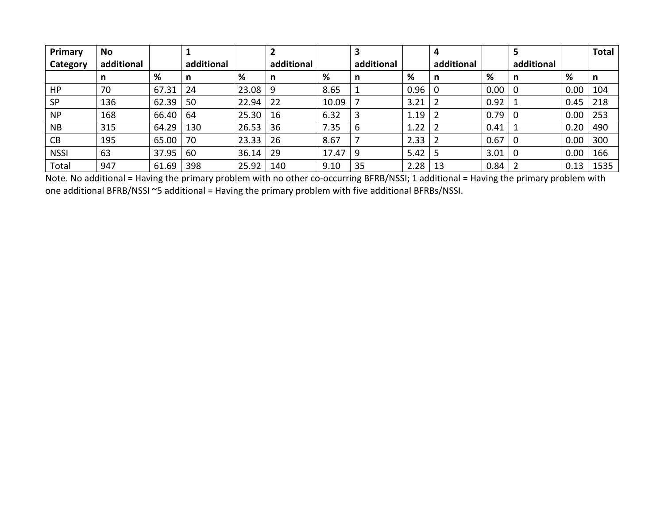| Primary     | <b>No</b>  |       |            |       |            |       |            |      |            |      |            |      | <b>Total</b> |
|-------------|------------|-------|------------|-------|------------|-------|------------|------|------------|------|------------|------|--------------|
| Category    | additional |       | additional |       | additional |       | additional |      | additional |      | additional |      |              |
|             | n          | %     | n          | %     | n          | %     | n          | %    | n          | %    | n          | %    | n            |
| HP          | 70         | 67.31 | 24         | 23.08 | 9          | 8.65  |            | 0.96 |            | 0.00 |            | 0.00 | 104          |
| <b>SP</b>   | 136        | 62.39 | 50         | 22.94 | 22         | 10.09 |            | 3.21 |            | 0.92 |            | 0.45 | 218          |
| <b>NP</b>   | 168        | 66.40 | 64         | 25.30 | 16         | 6.32  |            | 1.19 |            | 0.79 |            | 0.00 | 253          |
| <b>NB</b>   | 315        | 64.29 | 130        | 26.53 | 36         | 7.35  | 6          | 1.22 |            | 0.41 |            | 0.20 | 490          |
| CB          | 195        | 65.00 | 70         | 23.33 | 26         | 8.67  |            | 2.33 |            | 0.67 |            | 0.00 | 300          |
| <b>NSSI</b> | 63         | 37.95 | 60         | 36.14 | 29         | 17.47 | 9          | 5.42 |            | 3.01 |            | 0.00 | 166          |
| Total       | 947        | 61.69 | 398        | 25.92 | 140        | 9.10  | 35         | 2.28 | 13         | 0.84 |            | 0.13 | 1535         |

Note. No additional = Having the primary problem with no other co-occurring BFRB/NSSI; 1 additional = Having the primary problem with one additional BFRB/NSSI ~5 additional = Having the primary problem with five additional BFRBs/NSSI.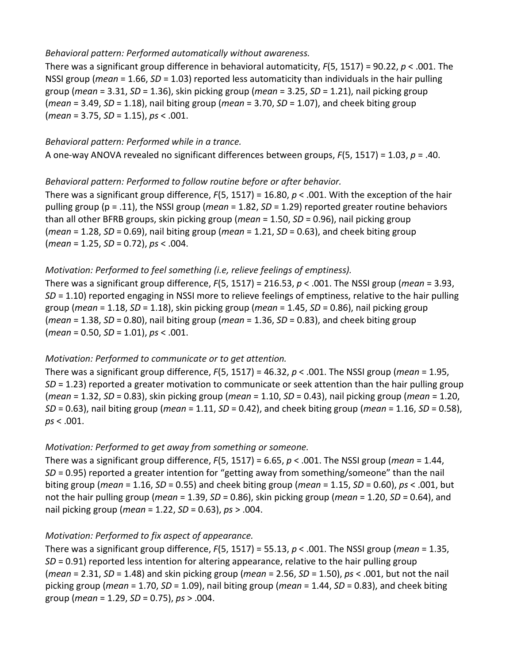#### *Behavioral pattern: Performed automatically without awareness.*

There was a significant group difference in behavioral automaticity, *F*(5, 1517) = 90.22, *p* < .001. The NSSI group (*mean* = 1.66, *SD* = 1.03) reported less automaticity than individuals in the hair pulling group (*mean* = 3.31, *SD* = 1.36), skin picking group (*mean* = 3.25, *SD* = 1.21), nail picking group (*mean* = 3.49, *SD* = 1.18), nail biting group (*mean* = 3.70, *SD* = 1.07), and cheek biting group (*mean* = 3.75, *SD* = 1.15), *ps* < .001.

#### *Behavioral pattern: Performed while in a trance.*

A one-way ANOVA revealed no significant differences between groups, *F*(5, 1517) = 1.03, *p* = .40.

#### *Behavioral pattern: Performed to follow routine before or after behavior.*

There was a significant group difference, *F*(5, 1517) = 16.80, *p* < .001. With the exception of the hair pulling group (p = .11), the NSSI group (*mean* = 1.82, *SD* = 1.29) reported greater routine behaviors than all other BFRB groups, skin picking group (*mean* = 1.50, *SD* = 0.96), nail picking group (*mean* = 1.28, *SD* = 0.69), nail biting group (*mean* = 1.21, *SD* = 0.63), and cheek biting group (*mean* = 1.25, *SD* = 0.72), *ps* < .004.

#### *Motivation: Performed to feel something (i.e, relieve feelings of emptiness).*

There was a significant group difference, *F*(5, 1517) = 216.53, *p* < .001. The NSSI group (*mean* = 3.93, *SD* = 1.10) reported engaging in NSSI more to relieve feelings of emptiness, relative to the hair pulling group (*mean* = 1.18, *SD* = 1.18), skin picking group (*mean* = 1.45, *SD* = 0.86), nail picking group (*mean* = 1.38, *SD* = 0.80), nail biting group (*mean* = 1.36, *SD* = 0.83), and cheek biting group (*mean* = 0.50, *SD* = 1.01), *ps* < .001.

#### *Motivation: Performed to communicate or to get attention.*

There was a significant group difference, *F*(5, 1517) = 46.32, *p* < .001. The NSSI group (*mean* = 1.95, *SD* = 1.23) reported a greater motivation to communicate or seek attention than the hair pulling group (*mean* = 1.32, *SD* = 0.83), skin picking group (*mean* = 1.10, *SD* = 0.43), nail picking group (*mean* = 1.20, *SD* = 0.63), nail biting group (*mean* = 1.11, *SD* = 0.42), and cheek biting group (*mean* = 1.16, *SD* = 0.58), *ps* < .001.

## *Motivation: Performed to get away from something or someone.*

There was a significant group difference, *F*(5, 1517) = 6.65, *p* < .001. The NSSI group (*mean* = 1.44, *SD* = 0.95) reported a greater intention for "getting away from something/someone" than the nail biting group (*mean* = 1.16, *SD* = 0.55) and cheek biting group (*mean* = 1.15, *SD* = 0.60), *ps* < .001, but not the hair pulling group (*mean* = 1.39, *SD* = 0.86), skin picking group (*mean* = 1.20, *SD* = 0.64), and nail picking group (*mean* = 1.22, *SD* = 0.63), *ps* > .004.

## *Motivation: Performed to fix aspect of appearance.*

There was a significant group difference, *F*(5, 1517) = 55.13, *p* < .001. The NSSI group (*mean* = 1.35, *SD* = 0.91) reported less intention for altering appearance, relative to the hair pulling group (*mean* = 2.31, *SD* = 1.48) and skin picking group (*mean* = 2.56, *SD* = 1.50), *ps* < .001, but not the nail picking group (*mean* = 1.70, *SD* = 1.09), nail biting group (*mean* = 1.44, *SD* = 0.83), and cheek biting group (*mean* = 1.29, *SD* = 0.75), *ps* > .004.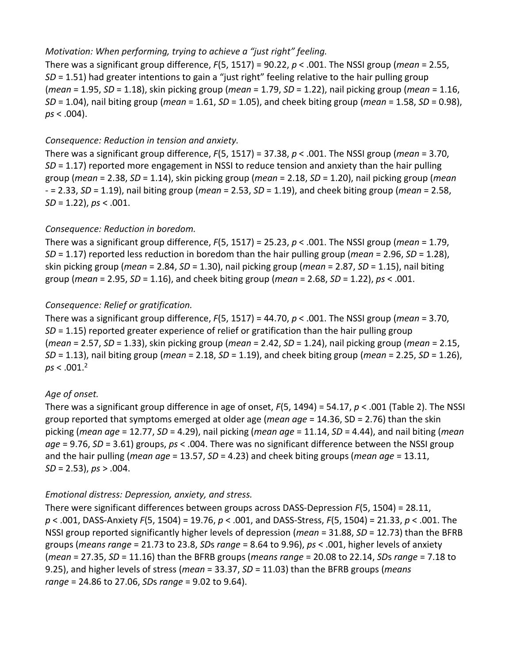### *Motivation: When performing, trying to achieve a "just right" feeling.*

There was a significant group difference, *F*(5, 1517) = 90.22, *p* < .001. The NSSI group (*mean* = 2.55, *SD* = 1.51) had greater intentions to gain a "just right" feeling relative to the hair pulling group (*mean* = 1.95, *SD* = 1.18), skin picking group (*mean* = 1.79, *SD* = 1.22), nail picking group (*mean* = 1.16, *SD* = 1.04), nail biting group (*mean* = 1.61, *SD* = 1.05), and cheek biting group (*mean* = 1.58, *SD* = 0.98), *ps* < .004).

#### *Consequence: Reduction in tension and anxiety.*

There was a significant group difference, *F*(5, 1517) = 37.38, *p* < .001. The NSSI group (*mean* = 3.70, *SD* = 1.17) reported more engagement in NSSI to reduce tension and anxiety than the hair pulling group (*mean* = 2.38, *SD* = 1.14), skin picking group (*mean* = 2.18, *SD* = 1.20), nail picking group (*mean* - = 2.33, *SD* = 1.19), nail biting group (*mean* = 2.53, *SD* = 1.19), and cheek biting group (*mean* = 2.58, *SD* = 1.22), *ps* < .001.

#### *Consequence: Reduction in boredom.*

There was a significant group difference, *F*(5, 1517) = 25.23, *p* < .001. The NSSI group (*mean* = 1.79, *SD* = 1.17) reported less reduction in boredom than the hair pulling group (*mean* = 2.96, *SD* = 1.28), skin picking group (*mean* = 2.84, *SD* = 1.30), nail picking group (*mean* = 2.87, *SD* = 1.15), nail biting group (*mean* = 2.95, *SD* = 1.16), and cheek biting group (*mean* = 2.68, *SD* = 1.22), *ps* < .001.

#### *Consequence: Relief or gratification.*

There was a significant group difference, *F*(5, 1517) = 44.70, *p* < .001. The NSSI group (*mean* = 3.70, *SD* = 1.15) reported greater experience of relief or gratification than the hair pulling group (*mean* = 2.57, *SD* = 1.33), skin picking group (*mean* = 2.42, *SD* = 1.24), nail picking group (*mean* = 2.15, *SD* = 1.13), nail biting group (*mean* = 2.18, *SD* = 1.19), and cheek biting group (*mean* = 2.25, *SD* = 1.26),  $ps < .001.<sup>2</sup>$ 

## *Age of onset.*

There was a significant group difference in age of onset, *F*(5, 1494) = 54.17, *p* < .001 (Table 2). The NSSI group reported that symptoms emerged at older age (*mean age* = 14.36, SD = 2.76) than the skin picking (*mean age* = 12.77, *SD* = 4.29), nail picking (*mean age* = 11.14, *SD* = 4.44), and nail biting (*mean age* = 9.76, *SD* = 3.61) groups, *ps* < .004. There was no significant difference between the NSSI group and the hair pulling (*mean age* = 13.57, *SD* = 4.23) and cheek biting groups (*mean age* = 13.11, *SD* = 2.53), *ps* > .004.

#### *Emotional distress: Depression, anxiety, and stress.*

There were significant differences between groups across DASS-Depression *F*(5, 1504) = 28.11, *p* < .001, DASS-Anxiety *F*(5, 1504) = 19.76, *p* < .001, and DASS-Stress, *F*(5, 1504) = 21.33, *p* < .001. The NSSI group reported significantly higher levels of depression (*mean* = 31.88, *SD* = 12.73) than the BFRB groups (*means range* = 21.73 to 23.8, *SD*s *range* = 8.64 to 9.96), *ps* < .001, higher levels of anxiety (*mean* = 27.35, *SD* = 11.16) than the BFRB groups (*means range* = 20.08 to 22.14, *SD*s *range* = 7.18 to 9.25), and higher levels of stress (*mean* = 33.37, *SD* = 11.03) than the BFRB groups (*means range* = 24.86 to 27.06, *SD*s *range* = 9.02 to 9.64).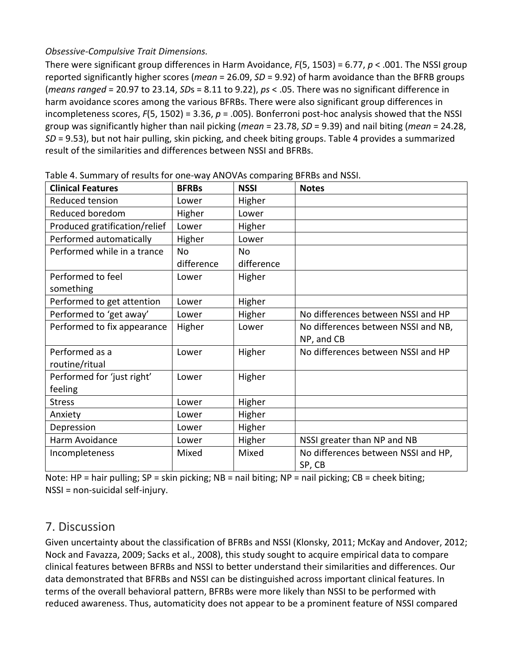## *Obsessive-Compulsive Trait Dimensions.*

There were significant group differences in Harm Avoidance, *F*(5, 1503) = 6.77, *p* < .001. The NSSI group reported significantly higher scores (*mean* = 26.09, *SD* = 9.92) of harm avoidance than the BFRB groups (*means ranged* = 20.97 to 23.14, *SD*s = 8.11 to 9.22), *ps* < .05. There was no significant difference in harm avoidance scores among the various BFRBs. There were also significant group differences in incompleteness scores, *F*(5, 1502) = 3.36, *p* = .005). Bonferroni post-hoc analysis showed that the NSSI group was significantly higher than nail picking (*mean* = 23.78, *SD* = 9.39) and nail biting (*mean* = 24.28, *SD* = 9.53), but not hair pulling, skin picking, and cheek biting groups. Table 4 provides a summarized result of the similarities and differences between NSSI and BFRBs.

| <b>Clinical Features</b>      | <b>BFRBs</b> | <b>NSSI</b> | <b>Notes</b>                        |
|-------------------------------|--------------|-------------|-------------------------------------|
| Reduced tension               | Lower        | Higher      |                                     |
| Reduced boredom               | Higher       | Lower       |                                     |
| Produced gratification/relief | Lower        | Higher      |                                     |
| Performed automatically       | Higher       | Lower       |                                     |
| Performed while in a trance   | <b>No</b>    | <b>No</b>   |                                     |
|                               | difference   | difference  |                                     |
| Performed to feel             | Lower        | Higher      |                                     |
| something                     |              |             |                                     |
| Performed to get attention    | Lower        | Higher      |                                     |
| Performed to 'get away'       | Lower        | Higher      | No differences between NSSI and HP  |
| Performed to fix appearance   | Higher       | Lower       | No differences between NSSI and NB, |
|                               |              |             | NP, and CB                          |
| Performed as a                | Lower        | Higher      | No differences between NSSI and HP  |
| routine/ritual                |              |             |                                     |
| Performed for 'just right'    | Lower        | Higher      |                                     |
| feeling                       |              |             |                                     |
| <b>Stress</b>                 | Lower        | Higher      |                                     |
| Anxiety                       | Lower        | Higher      |                                     |
| Depression                    | Lower        | Higher      |                                     |
| Harm Avoidance                | Lower        | Higher      | NSSI greater than NP and NB         |
| Incompleteness                | Mixed        | Mixed       | No differences between NSSI and HP, |
|                               |              |             | SP, CB                              |

Table 4. Summary of results for one-way ANOVAs comparing BFRBs and NSSI.

Note: HP = hair pulling; SP = skin picking; NB = nail biting; NP = nail picking; CB = cheek biting; NSSI = non-suicidal self-injury.

## 7. Discussion

Given uncertainty about the classification of BFRBs and NSSI (Klonsky, 2011; McKay and Andover, 2012; Nock and Favazza, 2009; Sacks et al., 2008), this study sought to acquire empirical data to compare clinical features between BFRBs and NSSI to better understand their similarities and differences. Our data demonstrated that BFRBs and NSSI can be distinguished across important clinical features. In terms of the overall behavioral pattern, BFRBs were more likely than NSSI to be performed with reduced awareness. Thus, automaticity does not appear to be a prominent feature of NSSI compared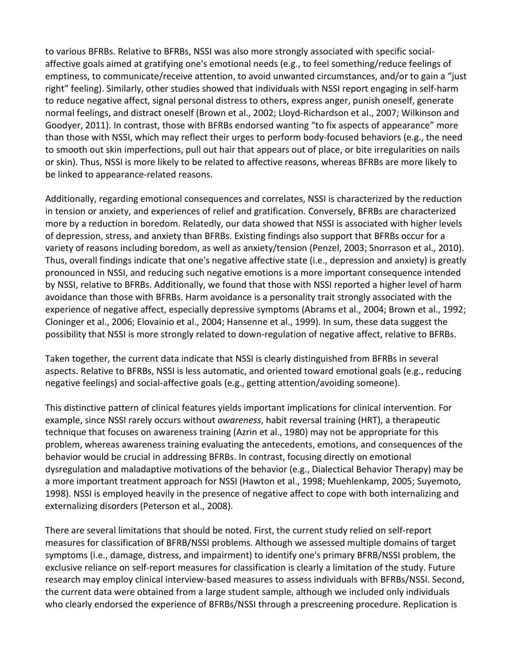to various BFRBs. Relative to BFRBs, NSSI was also more strongly associated with specific socialaffective goals aimed at gratifying one's emotional needs (e.g., to feel something/reduce feelings of emptiness, to communicate/receive attention, to avoid unwanted circumstances, and/or to gain a "just right" feeling). Similarly, other studies showed that individuals with NSSI report engaging in self-harm to reduce negative affect, signal personal distress to others, express anger, punish oneself, generate normal feelings, and distract oneself (Brown et al., 2002; Lloyd-Richardson et al., 2007; Wilkinson and Goodyer, 2011). In contrast, those with BFRBs endorsed wanting "to fix aspects of appearance" more than those with NSSI, which may reflect their urges to perform body-focused behaviors (e.g., the need to smooth out skin imperfections, pull out hair that appears out of place, or bite irregularities on nails or skin). Thus, NSSI is more likely to be related to affective reasons, whereas BFRBs are more likely to be linked to appearance-related reasons.

Additionally, regarding emotional consequences and correlates, NSSI is characterized by the reduction in tension or anxiety, and experiences of relief and gratification. Conversely, BFRBs are characterized more by a reduction in boredom. Relatedly, our data showed that NSSI is associated with higher levels of depression, stress, and anxiety than BFRBs. Existing findings also support that BFRBs occur for a variety of reasons including boredom, as well as anxiety/tension (Penzel, 2003; Snorrason et al., 2010). Thus, overall findings indicate that one's negative affective state (i.e., depression and anxiety) is greatly pronounced in NSSI, and reducing such negative emotions is a more important consequence intended by NSSI, relative to BFRBs. Additionally, we found that those with NSSI reported a higher level of harm avoidance than those with BFRBs. Harm avoidance is a personality trait strongly associated with the experience of negative affect, especially depressive symptoms (Abrams et al., 2004; Brown et al., 1992; Cloninger et al., 2006; Elovainio et al., 2004; Hansenne et al., 1999). In sum, these data suggest the possibility that NSSI is more strongly related to down-regulation of negative affect, relative to BFRBs.

Taken together, the current data indicate that NSSI is clearly distinguished from BFRBs in several aspects. Relative to BFRBs, NSSI is less automatic, and oriented toward emotional goals (e.g., reducing negative feelings) and social-affective goals (e.g., getting attention/avoiding someone).

This distinctive pattern of clinical features yields important implications for clinical intervention. For example, since NSSI rarely occurs without *awareness*, habit reversal training (HRT), a therapeutic technique that focuses on awareness training (Azrin et al., 1980) may not be appropriate for this problem, whereas awareness training evaluating the antecedents, emotions, and consequences of the behavior would be crucial in addressing BFRBs. In contrast, focusing directly on emotional dysregulation and maladaptive motivations of the behavior (e.g., Dialectical Behavior Therapy) may be a more important treatment approach for NSSI (Hawton et al., 1998; Muehlenkamp, 2005; Suyemoto, 1998). NSSI is employed heavily in the presence of negative affect to cope with both internalizing and externalizing disorders (Peterson et al., 2008).

There are several limitations that should be noted. First, the current study relied on self-report measures for classification of BFRB/NSSI problems. Although we assessed multiple domains of target symptoms (i.e., damage, distress, and impairment) to identify one's primary BFRB/NSSI problem, the exclusive reliance on self-report measures for classification is clearly a limitation of the study. Future research may employ clinical interview-based measures to assess individuals with BFRBs/NSSI. Second, the current data were obtained from a large student sample, although we included only individuals who clearly endorsed the experience of BFRBs/NSSI through a prescreening procedure. Replication is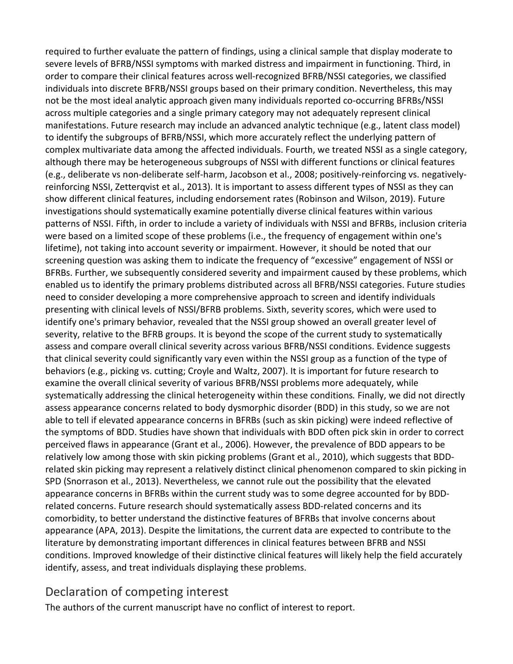required to further evaluate the pattern of findings, using a clinical sample that display moderate to severe levels of BFRB/NSSI symptoms with marked distress and impairment in functioning. Third, in order to compare their clinical features across well-recognized BFRB/NSSI categories, we classified individuals into discrete BFRB/NSSI groups based on their primary condition. Nevertheless, this may not be the most ideal analytic approach given many individuals reported co-occurring BFRBs/NSSI across multiple categories and a single primary category may not adequately represent clinical manifestations. Future research may include an advanced analytic technique (e.g., latent class model) to identify the subgroups of BFRB/NSSI, which more accurately reflect the underlying pattern of complex multivariate data among the affected individuals. Fourth, we treated NSSI as a single category, although there may be heterogeneous subgroups of NSSI with different functions or clinical features (e.g., deliberate vs non-deliberate self-harm, Jacobson et al., 2008; positively-reinforcing vs. negativelyreinforcing NSSI, Zetterqvist et al., 2013). It is important to assess different types of NSSI as they can show different clinical features, including endorsement rates (Robinson and Wilson, 2019). Future investigations should systematically examine potentially diverse clinical features within various patterns of NSSI. Fifth, in order to include a variety of individuals with NSSI and BFRBs, inclusion criteria were based on a limited scope of these problems (i.e., the frequency of engagement within one's lifetime), not taking into account severity or impairment. However, it should be noted that our screening question was asking them to indicate the frequency of "excessive" engagement of NSSI or BFRBs. Further, we subsequently considered severity and impairment caused by these problems, which enabled us to identify the primary problems distributed across all BFRB/NSSI categories. Future studies need to consider developing a more comprehensive approach to screen and identify individuals presenting with clinical levels of NSSI/BFRB problems. Sixth, severity scores, which were used to identify one's primary behavior, revealed that the NSSI group showed an overall greater level of severity, relative to the BFRB groups. It is beyond the scope of the current study to systematically assess and compare overall clinical severity across various BFRB/NSSI conditions. Evidence suggests that clinical severity could significantly vary even within the NSSI group as a function of the type of behaviors (e.g., picking vs. cutting; Croyle and Waltz, 2007). It is important for future research to examine the overall clinical severity of various BFRB/NSSI problems more adequately, while systematically addressing the clinical heterogeneity within these conditions*.* Finally, we did not directly assess appearance concerns related to body dysmorphic disorder (BDD) in this study, so we are not able to tell if elevated appearance concerns in BFRBs (such as skin picking) were indeed reflective of the symptoms of BDD. Studies have shown that individuals with BDD often pick skin in order to correct perceived flaws in appearance (Grant et al., 2006). However, the prevalence of BDD appears to be relatively low among those with skin picking problems (Grant et al., 2010), which suggests that BDDrelated skin picking may represent a relatively distinct clinical phenomenon compared to skin picking in SPD (Snorrason et al., 2013). Nevertheless, we cannot rule out the possibility that the elevated appearance concerns in BFRBs within the current study was to some degree accounted for by BDDrelated concerns. Future research should systematically assess BDD-related concerns and its comorbidity, to better understand the distinctive features of BFRBs that involve concerns about appearance (APA, 2013). Despite the limitations, the current data are expected to contribute to the literature by demonstrating important differences in clinical features between BFRB and NSSI conditions. Improved knowledge of their distinctive clinical features will likely help the field accurately identify, assess, and treat individuals displaying these problems.

# Declaration of competing interest

The authors of the current manuscript have no conflict of interest to report.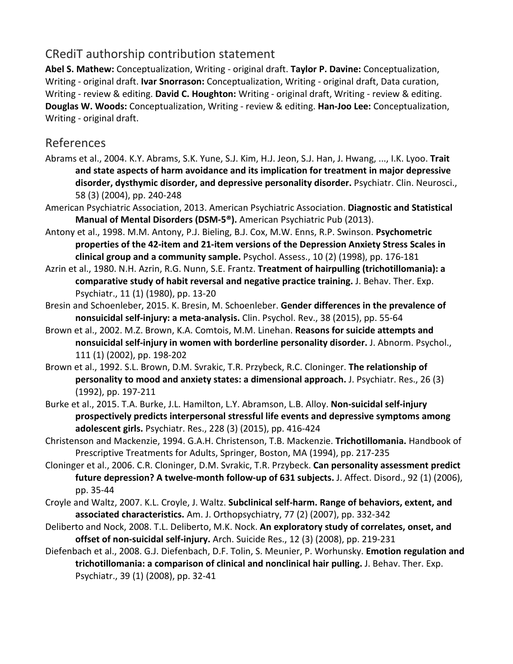# CRediT authorship contribution statement

**Abel S. Mathew:** Conceptualization, Writing - original draft. **Taylor P. Davine:** Conceptualization, Writing - original draft. **Ivar Snorrason:** Conceptualization, Writing - original draft, Data curation, Writing - review & editing. **David C. Houghton:** Writing - original draft, Writing - review & editing. **Douglas W. Woods:** Conceptualization, Writing - review & editing. **Han-Joo Lee:** Conceptualization, Writing - original draft.

## References

- Abrams et al., 2004. K.Y. Abrams, S.K. Yune, S.J. Kim, H.J. Jeon, S.J. Han, J. Hwang, ..., I.K. Lyoo. **Trait and state aspects of harm avoidance and its implication for treatment in major depressive disorder, dysthymic disorder, and depressive personality disorder.** Psychiatr. Clin. Neurosci., 58 (3) (2004), pp. 240-248
- American Psychiatric Association, 2013. American Psychiatric Association. **Diagnostic and Statistical Manual of Mental Disorders (DSM-5®).** American Psychiatric Pub (2013).
- Antony et al., 1998. M.M. Antony, P.J. Bieling, B.J. Cox, M.W. Enns, R.P. Swinson. **Psychometric properties of the 42-item and 21-item versions of the Depression Anxiety Stress Scales in clinical group and a community sample.** Psychol. Assess., 10 (2) (1998), pp. 176-181
- Azrin et al., 1980. N.H. Azrin, R.G. Nunn, S.E. Frantz. **Treatment of hairpulling (trichotillomania): a comparative study of habit reversal and negative practice training.** J. Behav. Ther. Exp. Psychiatr., 11 (1) (1980), pp. 13-20
- Bresin and Schoenleber, 2015. K. Bresin, M. Schoenleber. **Gender differences in the prevalence of nonsuicidal self-injury: a meta-analysis.** Clin. Psychol. Rev., 38 (2015), pp. 55-64
- Brown et al., 2002. M.Z. Brown, K.A. Comtois, M.M. Linehan. **Reasons for suicide attempts and nonsuicidal self-injury in women with borderline personality disorder.** J. Abnorm. Psychol., 111 (1) (2002), pp. 198-202
- Brown et al., 1992. S.L. Brown, D.M. Svrakic, T.R. Przybeck, R.C. Cloninger. **The relationship of personality to mood and anxiety states: a dimensional approach.** J. Psychiatr. Res., 26 (3) (1992), pp. 197-211
- Burke et al., 2015. T.A. Burke, J.L. Hamilton, L.Y. Abramson, L.B. Alloy. **Non-suicidal self-injury prospectively predicts interpersonal stressful life events and depressive symptoms among adolescent girls.** Psychiatr. Res., 228 (3) (2015), pp. 416-424
- Christenson and Mackenzie, 1994. G.A.H. Christenson, T.B. Mackenzie. **Trichotillomania.** Handbook of Prescriptive Treatments for Adults, Springer, Boston, MA (1994), pp. 217-235
- Cloninger et al., 2006. C.R. Cloninger, D.M. Svrakic, T.R. Przybeck. **Can personality assessment predict future depression? A twelve-month follow-up of 631 subjects.** J. Affect. Disord., 92 (1) (2006), pp. 35-44
- Croyle and Waltz, 2007. K.L. Croyle, J. Waltz. **Subclinical self-harm. Range of behaviors, extent, and associated characteristics.** Am. J. Orthopsychiatry, 77 (2) (2007), pp. 332-342
- Deliberto and Nock, 2008. T.L. Deliberto, M.K. Nock. **An exploratory study of correlates, onset, and offset of non-suicidal self-injury.** Arch. Suicide Res., 12 (3) (2008), pp. 219-231
- Diefenbach et al., 2008. G.J. Diefenbach, D.F. Tolin, S. Meunier, P. Worhunsky. **Emotion regulation and trichotillomania: a comparison of clinical and nonclinical hair pulling.** J. Behav. Ther. Exp. Psychiatr., 39 (1) (2008), pp. 32-41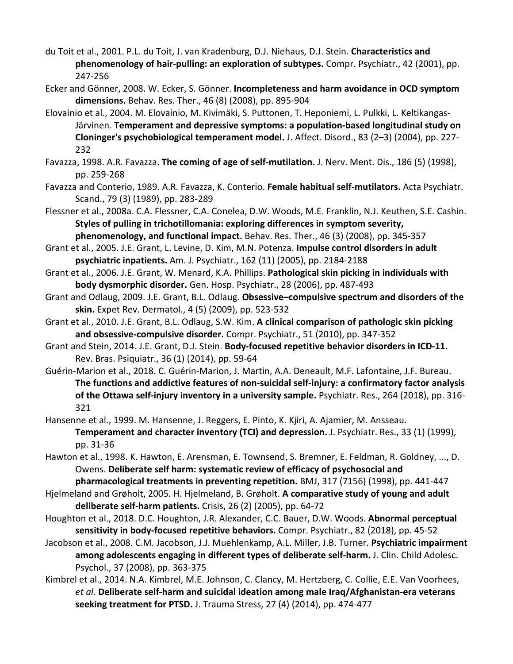- du Toit et al., 2001. P.L. du Toit, J. van Kradenburg, D.J. Niehaus, D.J. Stein. **Characteristics and phenomenology of hair-pulling: an exploration of subtypes.** Compr. Psychiatr., 42 (2001), pp. 247-256
- Ecker and Gönner, 2008. W. Ecker, S. Gönner. **Incompleteness and harm avoidance in OCD symptom dimensions.** Behav. Res. Ther., 46 (8) (2008), pp. 895-904
- Elovainio et al., 2004. M. Elovainio, M. Kivimäki, S. Puttonen, T. Heponiemi, L. Pulkki, L. Keltikangas-Järvinen. **Temperament and depressive symptoms: a population-based longitudinal study on Cloninger's psychobiological temperament model.** J. Affect. Disord., 83 (2–3) (2004), pp. 227- 232
- Favazza, 1998. A.R. Favazza. **The coming of age of self-mutilation.** J. Nerv. Ment. Dis., 186 (5) (1998), pp. 259-268
- Favazza and Conterio, 1989. A.R. Favazza, K. Conterio. **Female habitual self-mutilators.** Acta Psychiatr. Scand., 79 (3) (1989), pp. 283-289
- Flessner et al., 2008a. C.A. Flessner, C.A. Conelea, D.W. Woods, M.E. Franklin, N.J. Keuthen, S.E. Cashin. **Styles of pulling in trichotillomania: exploring differences in symptom severity,**

**phenomenology, and functional impact.** Behav. Res. Ther., 46 (3) (2008), pp. 345-357

- Grant et al., 2005. J.E. Grant, L. Levine, D. Kim, M.N. Potenza. **Impulse control disorders in adult psychiatric inpatients.** Am. J. Psychiatr., 162 (11) (2005), pp. 2184-2188
- Grant et al., 2006. J.E. Grant, W. Menard, K.A. Phillips. **Pathological skin picking in individuals with body dysmorphic disorder.** Gen. Hosp. Psychiatr., 28 (2006), pp. 487-493
- Grant and Odlaug, 2009. J.E. Grant, B.L. Odlaug. **Obsessive–compulsive spectrum and disorders of the skin.** Expet Rev. Dermatol., 4 (5) (2009), pp. 523-532
- Grant et al., 2010. J.E. Grant, B.L. Odlaug, S.W. Kim. **A clinical comparison of pathologic skin picking and obsessive-compulsive disorder.** Compr. Psychiatr., 51 (2010), pp. 347-352
- Grant and Stein, 2014. J.E. Grant, D.J. Stein. **Body-focused repetitive behavior disorders in ICD-11.**  Rev. Bras. Psiquiatr., 36 (1) (2014), pp. 59-64
- Guérin-Marion et al., 2018. C. Guérin-Marion, J. Martin, A.A. Deneault, M.F. Lafontaine, J.F. Bureau. **The functions and addictive features of non-suicidal self-injury: a confirmatory factor analysis of the Ottawa self-injury inventory in a university sample.** Psychiatr. Res., 264 (2018), pp. 316- 321
- Hansenne et al., 1999. M. Hansenne, J. Reggers, E. Pinto, K. Kjiri, A. Ajamier, M. Ansseau. **Temperament and character inventory (TCI) and depression.** J. Psychiatr. Res., 33 (1) (1999), pp. 31-36
- Hawton et al., 1998. K. Hawton, E. Arensman, E. Townsend, S. Bremner, E. Feldman, R. Goldney, ..., D. Owens. **Deliberate self harm: systematic review of efficacy of psychosocial and pharmacological treatments in preventing repetition.** BMJ, 317 (7156) (1998), pp. 441-447
- Hjelmeland and Grøholt, 2005. H. Hjelmeland, B. Grøholt. **A comparative study of young and adult deliberate self-harm patients.** Crisis, 26 (2) (2005), pp. 64-72
- Houghton et al., 2018. D.C. Houghton, J.R. Alexander, C.C. Bauer, D.W. Woods. **Abnormal perceptual sensitivity in body-focused repetitive behaviors.** Compr. Psychiatr., 82 (2018), pp. 45-52
- Jacobson et al., 2008. C.M. Jacobson, J.J. Muehlenkamp, A.L. Miller, J.B. Turner. **Psychiatric impairment among adolescents engaging in different types of deliberate self-harm.** J. Clin. Child Adolesc. Psychol., 37 (2008), pp. 363-375
- Kimbrel et al., 2014. N.A. Kimbrel, M.E. Johnson, C. Clancy, M. Hertzberg, C. Collie, E.E. Van Voorhees, *et al.* **Deliberate self-harm and suicidal ideation among male Iraq/Afghanistan-era veterans seeking treatment for PTSD.** J. Trauma Stress, 27 (4) (2014), pp. 474-477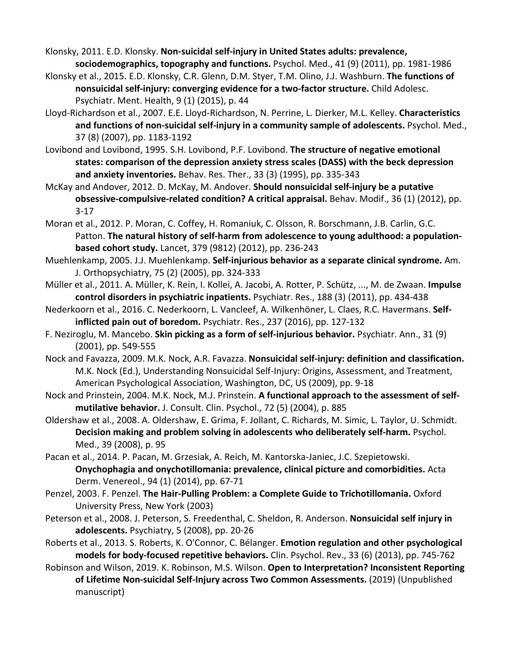Klonsky, 2011. E.D. Klonsky. **Non-suicidal self-injury in United States adults: prevalence, sociodemographics, topography and functions.** Psychol. Med., 41 (9) (2011), pp. 1981-1986

- Klonsky et al., 2015. E.D. Klonsky, C.R. Glenn, D.M. Styer, T.M. Olino, J.J. Washburn. **The functions of nonsuicidal self-injury: converging evidence for a two-factor structure.** Child Adolesc. Psychiatr. Ment. Health, 9 (1) (2015), p. 44
- Lloyd-Richardson et al., 2007. E.E. Lloyd-Richardson, N. Perrine, L. Dierker, M.L. Kelley. **Characteristics and functions of non-suicidal self-injury in a community sample of adolescents.** Psychol. Med., 37 (8) (2007), pp. 1183-1192
- Lovibond and Lovibond, 1995. S.H. Lovibond, P.F. Lovibond. **The structure of negative emotional states: comparison of the depression anxiety stress scales (DASS) with the beck depression and anxiety inventories.** Behav. Res. Ther., 33 (3) (1995), pp. 335-343
- McKay and Andover, 2012. D. McKay, M. Andover. **Should nonsuicidal self-injury be a putative obsessive-compulsive-related condition? A critical appraisal.** Behav. Modif., 36 (1) (2012), pp. 3-17
- Moran et al., 2012. P. Moran, C. Coffey, H. Romaniuk, C. Olsson, R. Borschmann, J.B. Carlin, G.C. Patton. **The natural history of self-harm from adolescence to young adulthood: a populationbased cohort study.** Lancet, 379 (9812) (2012), pp. 236-243
- Muehlenkamp, 2005. J.J. Muehlenkamp. **Self-injurious behavior as a separate clinical syndrome.** Am. J. Orthopsychiatry, 75 (2) (2005), pp. 324-333
- Müller et al., 2011. A. Müller, K. Rein, I. Kollei, A. Jacobi, A. Rotter, P. Schütz, ..., M. de Zwaan. **Impulse control disorders in psychiatric inpatients.** Psychiatr. Res., 188 (3) (2011), pp. 434-438
- Nederkoorn et al., 2016. C. Nederkoorn, L. Vancleef, A. Wilkenhöner, L. Claes, R.C. Havermans. **Selfinflicted pain out of boredom.** Psychiatr. Res., 237 (2016), pp. 127-132
- F. Neziroglu, M. Mancebo. **Skin picking as a form of self-injurious behavior.** Psychiatr. Ann., 31 (9) (2001), pp. 549-555
- Nock and Favazza, 2009. M.K. Nock, A.R. Favazza. **Nonsuicidal self-injury: definition and classification.**  M.K. Nock (Ed.), Understanding Nonsuicidal Self-Injury: Origins, Assessment, and Treatment, American Psychological Association, Washington, DC, US (2009), pp. 9-18
- Nock and Prinstein, 2004. M.K. Nock, M.J. Prinstein. **A functional approach to the assessment of selfmutilative behavior.** J. Consult. Clin. Psychol., 72 (5) (2004), p. 885
- Oldershaw et al., 2008. A. Oldershaw, E. Grima, F. Jollant, C. Richards, M. Simic, L. Taylor, U. Schmidt. **Decision making and problem solving in adolescents who deliberately self-harm.** Psychol. Med., 39 (2008), p. 95
- Pacan et al., 2014. P. Pacan, M. Grzesiak, A. Reich, M. Kantorska-Janiec, J.C. Szepietowski. **Onychophagia and onychotillomania: prevalence, clinical picture and comorbidities.** Acta Derm. Venereol., 94 (1) (2014), pp. 67-71
- Penzel, 2003. F. Penzel. **The Hair-Pulling Problem: a Complete Guide to Trichotillomania.** Oxford University Press, New York (2003)
- Peterson et al., 2008. J. Peterson, S. Freedenthal, C. Sheldon, R. Anderson. **Nonsuicidal self injury in adolescents.** Psychiatry, 5 (2008), pp. 20-26
- Roberts et al., 2013. S. Roberts, K. O'Connor, C. Bélanger. **Emotion regulation and other psychological models for body-focused repetitive behaviors.** Clin. Psychol. Rev., 33 (6) (2013), pp. 745-762
- Robinson and Wilson, 2019. K. Robinson, M.S. Wilson. **Open to Interpretation? Inconsistent Reporting of Lifetime Non-suicidal Self-Injury across Two Common Assessments.** (2019) (Unpublished manuscript)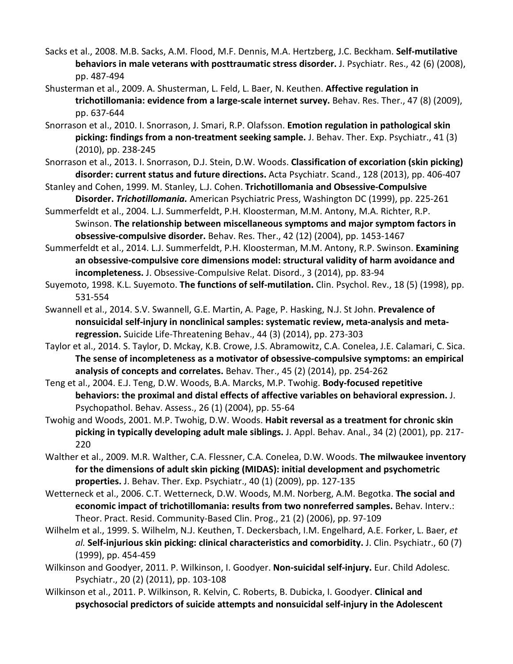- Sacks et al., 2008. M.B. Sacks, A.M. Flood, M.F. Dennis, M.A. Hertzberg, J.C. Beckham. **Self-mutilative behaviors in male veterans with posttraumatic stress disorder.** J. Psychiatr. Res., 42 (6) (2008), pp. 487-494
- Shusterman et al., 2009. A. Shusterman, L. Feld, L. Baer, N. Keuthen. **Affective regulation in trichotillomania: evidence from a large-scale internet survey.** Behav. Res. Ther., 47 (8) (2009), pp. 637-644
- Snorrason et al., 2010. I. Snorrason, J. Smari, R.P. Olafsson. **Emotion regulation in pathological skin picking: findings from a non-treatment seeking sample.** J. Behav. Ther. Exp. Psychiatr., 41 (3) (2010), pp. 238-245
- Snorrason et al., 2013. I. Snorrason, D.J. Stein, D.W. Woods. **Classification of excoriation (skin picking) disorder: current status and future directions.** Acta Psychiatr. Scand., 128 (2013), pp. 406-407
- Stanley and Cohen, 1999. M. Stanley, L.J. Cohen. **Trichotillomania and Obsessive-Compulsive Disorder.** *Trichotillomania.* American Psychiatric Press, Washington DC (1999), pp. 225-261
- Summerfeldt et al., 2004. L.J. Summerfeldt, P.H. Kloosterman, M.M. Antony, M.A. Richter, R.P. Swinson. **The relationship between miscellaneous symptoms and major symptom factors in obsessive-compulsive disorder.** Behav. Res. Ther., 42 (12) (2004), pp. 1453-1467
- Summerfeldt et al., 2014. L.J. Summerfeldt, P.H. Kloosterman, M.M. Antony, R.P. Swinson. **Examining an obsessive-compulsive core dimensions model: structural validity of harm avoidance and incompleteness.** J. Obsessive-Compulsive Relat. Disord., 3 (2014), pp. 83-94
- Suyemoto, 1998. K.L. Suyemoto. **The functions of self-mutilation.** Clin. Psychol. Rev., 18 (5) (1998), pp. 531-554
- Swannell et al., 2014. S.V. Swannell, G.E. Martin, A. Page, P. Hasking, N.J. St John. **Prevalence of nonsuicidal self-injury in nonclinical samples: systematic review, meta-analysis and metaregression.** Suicide Life-Threatening Behav., 44 (3) (2014), pp. 273-303
- Taylor et al., 2014. S. Taylor, D. Mckay, K.B. Crowe, J.S. Abramowitz, C.A. Conelea, J.E. Calamari, C. Sica. **The sense of incompleteness as a motivator of obsessive-compulsive symptoms: an empirical analysis of concepts and correlates.** Behav. Ther., 45 (2) (2014), pp. 254-262
- Teng et al., 2004. E.J. Teng, D.W. Woods, B.A. Marcks, M.P. Twohig. **Body-focused repetitive behaviors: the proximal and distal effects of affective variables on behavioral expression.** J. Psychopathol. Behav. Assess., 26 (1) (2004), pp. 55-64
- Twohig and Woods, 2001. M.P. Twohig, D.W. Woods. **Habit reversal as a treatment for chronic skin picking in typically developing adult male siblings.** J. Appl. Behav. Anal., 34 (2) (2001), pp. 217- 220
- Walther et al., 2009. M.R. Walther, C.A. Flessner, C.A. Conelea, D.W. Woods. **The milwaukee inventory for the dimensions of adult skin picking (MIDAS): initial development and psychometric properties.** J. Behav. Ther. Exp. Psychiatr., 40 (1) (2009), pp. 127-135
- Wetterneck et al., 2006. C.T. Wetterneck, D.W. Woods, M.M. Norberg, A.M. Begotka. **The social and economic impact of trichotillomania: results from two nonreferred samples.** Behav. Interv.: Theor. Pract. Resid. Community-Based Clin. Prog., 21 (2) (2006), pp. 97-109
- Wilhelm et al., 1999. S. Wilhelm, N.J. Keuthen, T. Deckersbach, I.M. Engelhard, A.E. Forker, L. Baer, *et al.* **Self-injurious skin picking: clinical characteristics and comorbidity.** J. Clin. Psychiatr., 60 (7) (1999), pp. 454-459
- Wilkinson and Goodyer, 2011. P. Wilkinson, I. Goodyer. **Non-suicidal self-injury.** Eur. Child Adolesc. Psychiatr., 20 (2) (2011), pp. 103-108
- Wilkinson et al., 2011. P. Wilkinson, R. Kelvin, C. Roberts, B. Dubicka, I. Goodyer. **Clinical and psychosocial predictors of suicide attempts and nonsuicidal self-injury in the Adolescent**